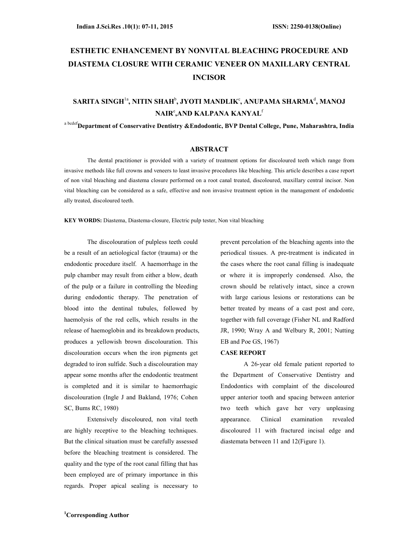# ESTHETIC ENHANCEMENT BY NONVITAL BLEACHING PROCEDURE AND DIASTEMA CLOSURE WITH CERAMIC VENEER ON MAXILLARY CENTRAL INCISOR

## SARITA SINGH $^{\rm la}$ , NITIN SHAH $^{\rm b}$ , JYOTI MANDLIK $^{\rm c}$ , ANUPAMA SHARMA $^{\rm d}$ , MANOJ NAIR°,AND KALPANA KANYAL $^{\rm f}$

# a bcdefDepartment of Conservative Dentistry &Endodontic, BVP Dental College, Pune, Maharashtra, India

## ABSTRACT

The dental practitioner is provided with a variety of treatment options for discoloured teeth which range from invasive methods like full crowns and veneers to least invasive procedures like bleaching. This article describes a case report of non vital bleaching and diastema closure performed on a root canal treated, discoloured, maxillary central incisor. Non vital bleaching can be considered as a safe, effective and non invasive treatment option in the management of endodontic ally treated, discoloured teeth.

KEY WORDS: Diastema, Diastema-closure, Electric pulp tester, Non vital bleaching

The discolouration of pulpless teeth could be a result of an aetiological factor (trauma) or the endodontic procedure itself. A haemorrhage in the pulp chamber may result from either a blow, death of the pulp or a failure in controlling the bleeding during endodontic therapy. The penetration of blood into the dentinal tubules, followed by haemolysis of the red cells, which results in the release of haemoglobin and its breakdown products, produces a yellowish brown discolouration. This discolouration occurs when the iron pigments get degraded to iron sulfide. Such a discolouration may appear some months after the endodontic treatment is completed and it is similar to haemorrhagic discolouration (Ingle J and Bakland, 1976; Cohen SC, Bums RC, 1980)

Extensively discoloured, non vital teeth are highly receptive to the bleaching techniques. But the clinical situation must be carefully assessed before the bleaching treatment is considered. The quality and the type of the root canal filling that has been employed are of primary importance in this regards. Proper apical sealing is necessary to

prevent percolation of the bleaching agents into the periodical tissues. A pre-treatment is indicated in the cases where the root canal filling is inadequate or where it is improperly condensed. Also, the crown should be relatively intact, since a crown with large carious lesions or restorations can be better treated by means of a cast post and core, together with full coverage (Fisher NL and Radford JR, 1990; Wray A and Welbury R, 2001; Nutting EB and Poe GS, 1967)

#### CASE REPORT

A 26-year old female patient reported to the Department of Conservative Dentistry and Endodontics with complaint of the discoloured upper anterior tooth and spacing between anterior two teeth which gave her very unpleasing appearance. Clinical examination revealed discoloured 11 with fractured incisal edge and diastemata between 11 and 12(Figure 1).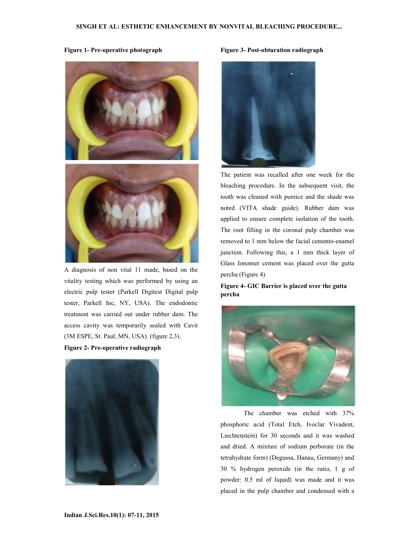Figure 1- Pre-operative photograph





A diagnosis of non vital 11 made, based on the vitality testing which was performed by using an electric pulp tester (Parkell Digitest Digital pulp tester, Parkell Inc, NY, USA). The endodontic treatment was carried out under rubber dam. The access cavity was temporarily sealed with Cavit (3M ESPE, St. Paul, MN, USA). (figure 2,3).

#### Figure 2- Pre-operative radiograph



#### Figure 3- Post-obturation radiograph



The patient was recalled after one week for the bleaching procedure. In the subsequent visit, the tooth was cleaned with pumice and the shade was noted (VITA shade guide). Rubber dam was applied to ensure complete isolation of the tooth. The root filling in the coronal pulp chamber was removed to 1 mm below the facial cemento-enamel junction. Following this, a 1 mm thick layer of Glass Ionomer cement was placed over the gutta percha (Figure 4).

Figure 4- GIC Barrier is placed over the gutta percha



The chamber was etched with 37% phosphoric acid (Total Etch, Ivoclar Vivadent, Liechtenstein) for 30 seconds and it was washed and dried. A mixture of sodium perborate (in the tetrahydrate form) (Degussa, Hanau, Germany) and 30 % hydrogen peroxide (in the ratio, 1 g of powder: 0.5 ml of liquid) was made and it was placed in the pulp chamber and condensed with a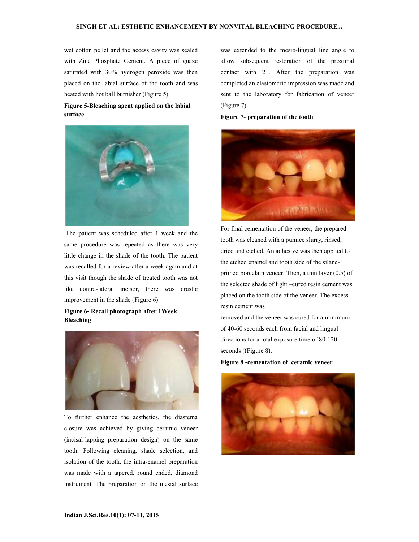wet cotton pellet and the access cavity was sealed with Zinc Phosphate Cement. A piece of guaze saturated with 30% hydrogen peroxide was then placed on the labial surface of the tooth and was heated with hot ball burnisher (Figure 5)

## Figure 5-Bleaching agent applied on the labial surface



 The patient was scheduled after 1 week and the same procedure was repeated as there was very little change in the shade of the tooth. The patient was recalled for a review after a week again and at this visit though the shade of treated tooth was not like contra-lateral incisor, there was drastic improvement in the shade (Figure 6).

## Figure 6- Recall photograph after 1Week Bleaching



To further enhance the aesthetics, the diastema closure was achieved by giving ceramic veneer (incisal-lapping preparation design) on the same tooth. Following cleaning, shade selection, and isolation of the tooth, the intra-enamel preparation was made with a tapered, round ended, diamond instrument. The preparation on the mesial surface

was extended to the mesio-lingual line angle to allow subsequent restoration of the proximal contact with 21. After the preparation was completed an elastomeric impression was made and sent to the laboratory for fabrication of veneer (Figure 7).

#### Figure 7- preparation of the tooth



For final cementation of the veneer, the prepared tooth was cleaned with a pumice slurry, rinsed, dried and etched. An adhesive was then applied to the etched enamel and tooth side of the silaneprimed porcelain veneer. Then, a thin layer (0.5) of the selected shade of light –cured resin cement was placed on the tooth side of the veneer. The excess resin cement was

removed and the veneer was cured for a minimum of 40-60 seconds each from facial and lingual directions for a total exposure time of 80-120 seconds ((Figure 8).

Figure 8 -cementation of ceramic veneer

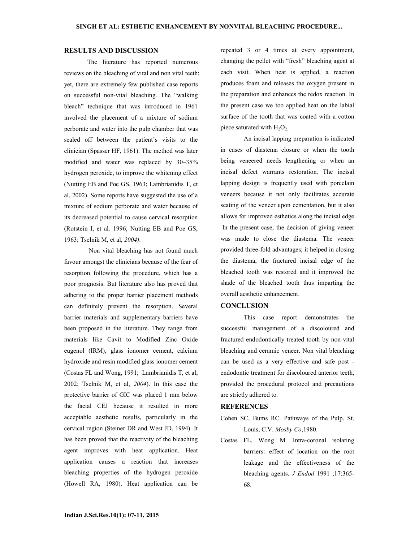#### RESULTS AND DISCUSSION

The literature has reported numerous reviews on the bleaching of vital and non vital teeth; yet, there are extremely few published case reports on successful non-vital bleaching. The "walking bleach" technique that was introduced in 1961 involved the placement of a mixture of sodium perborate and water into the pulp chamber that was sealed off between the patient's visits to the clinician (Spasser HF, 1961). The method was later modified and water was replaced by 30–35% hydrogen peroxide, to improve the whitening effect (Nutting EB and Poe GS, 1963; Lambrianidis T, et al, 2002). Some reports have suggested the use of a mixture of sodium perborate and water because of its decreased potential to cause cervical resorption (Rotstein I, et al, 1996; Nutting EB and Poe GS, 1963; Tselnik M, et al, 2004).

 Non vital bleaching has not found much favour amongst the clinicians because of the fear of resorption following the procedure, which has a poor prognosis. But literature also has proved that adhering to the proper barrier placement methods can definitely prevent the resorption. Several barrier materials and supplementary barriers have been proposed in the literature. They range from materials like Cavit to Modified Zinc Oxide eugenol (IRM), glass ionomer cement, calcium hydroxide and resin modified glass ionomer cement (Costas FL and Wong, 1991; Lambrianidis T, et al, 2002; Tselnik M, et al, 2004). In this case the protective barrier of GIC was placed 1 mm below the facial CEJ because it resulted in more acceptable aesthetic results, particularly in the cervical region (Steiner DR and West JD, 1994). It has been proved that the reactivity of the bleaching agent improves with heat application. Heat application causes a reaction that increases bleaching properties of the hydrogen peroxide (Howell RA, 1980). Heat application can be

repeated 3 or 4 times at every appointment, changing the pellet with "fresh" bleaching agent at each visit. When heat is applied, a reaction produces foam and releases the oxygen present in the preparation and enhances the redox reaction. In the present case we too applied heat on the labial surface of the tooth that was coated with a cotton piece saturated with  $H_2O_2$ .

An incisal lapping preparation is indicated in cases of diastema closure or when the tooth being veneered needs lengthening or when an incisal defect warrants restoration. The incisal lapping design is frequently used with porcelain veneers because it not only facilitates accurate seating of the veneer upon cementation, but it also allows for improved esthetics along the incisal edge. In the present case, the decision of giving veneer was made to close the diastema. The veneer provided three-fold advantages; it helped in closing the diastema, the fractured incisal edge of the bleached tooth was restored and it improved the shade of the bleached tooth thus imparting the overall aesthetic enhancement.

## **CONCLUSION**

This case report demonstrates the successful management of a discoloured and fractured endodontically treated tooth by non-vital bleaching and ceramic veneer. Non vital bleaching can be used as a very effective and safe post endodontic treatment for discoloured anterior teeth, provided the procedural protocol and precautions are strictly adhered to.

## **REFERENCES**

- Cohen SC, Bums RC. Pathways of the Pulp. St. Louis, C.V. Mosby Co, 1980.
- Costas FL, Wong M. Intra-coronal isolating barriers: effect of location on the root leakage and the effectiveness of the bleaching agents. J Endod 1991 ;17:365- 68.